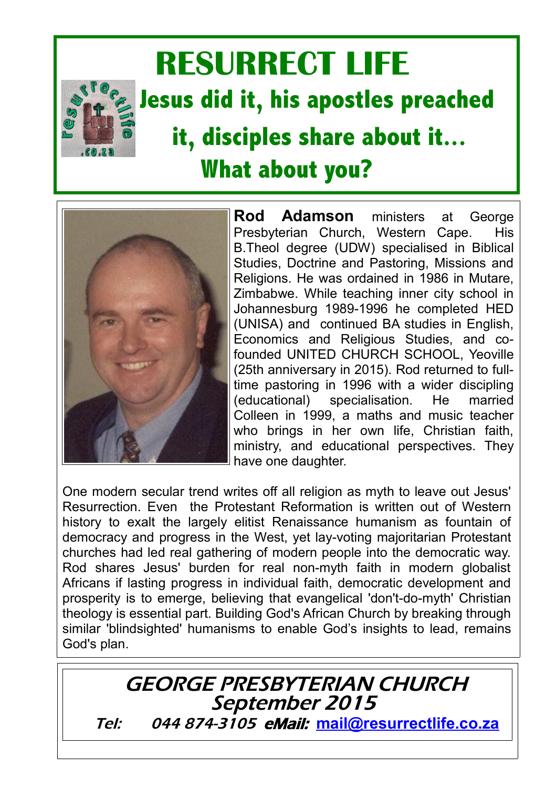

## **RESURRECT LIFE Jesus did it, his apostles preached it, disciples share about it... What about you?**



**Rod Adamson** ministers at George Presbyterian Church, Western Cape. His B.Theol degree (UDW) specialised in Biblical Studies, Doctrine and Pastoring, Missions and Religions. He was ordained in 1986 in Mutare, Zimbabwe. While teaching inner city school in Johannesburg 1989-1996 he completed HED (UNISA) and continued BA studies in English, Economics and Religious Studies, and cofounded UNITED CHURCH SCHOOL, Yeoville (25th anniversary in 2015). Rod returned to fulltime pastoring in 1996 with a wider discipling (educational) specialisation. He married Colleen in 1999, a maths and music teacher who brings in her own life, Christian faith, ministry, and educational perspectives. They have one daughter.

One modern secular trend writes off all religion as myth to leave out Jesus' Resurrection. Even the Protestant Reformation is written out of Western history to exalt the largely elitist Renaissance humanism as fountain of democracy and progress in the West, yet lay-voting majoritarian Protestant churches had led real gathering of modern people into the democratic way. Rod shares Jesus' burden for real non-myth faith in modern globalist Africans if lasting progress in individual faith, democratic development and prosperity is to emerge, believing that evangelical 'don't-do-myth' Christian theology is essential part. Building God's African Church by breaking through similar 'blindsighted' humanisms to enable God's insights to lead, remains God's plan.

GEORGE PRESBYTERIAN CHURCH September 2015 Tel: 044 874-3105 eMail: **[mail@resurrectlife.co.za](mailto:odnpresby@scwireless.co.za)**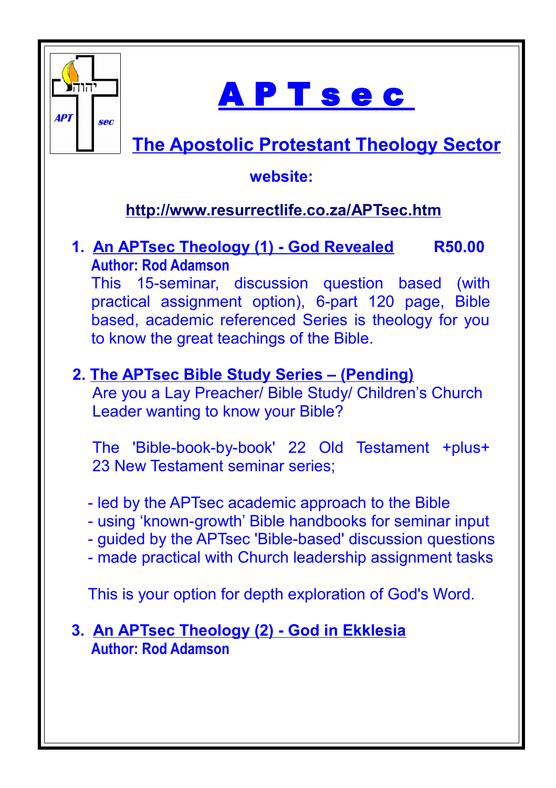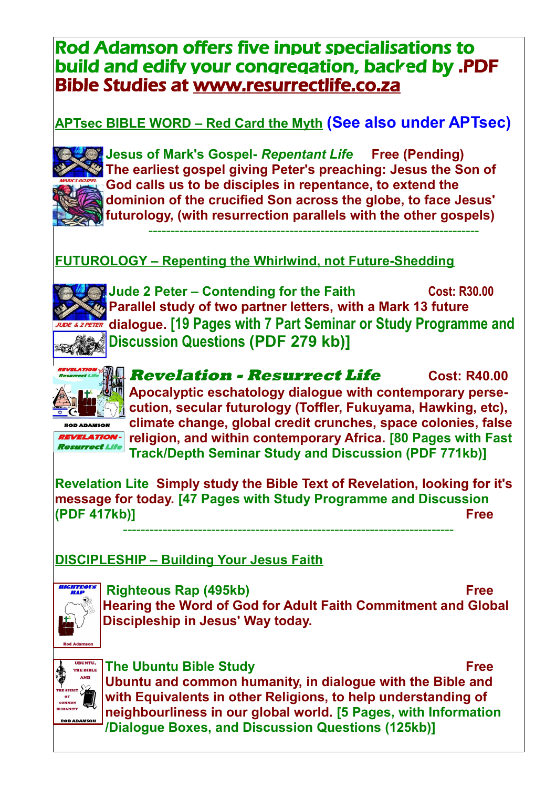## Rod Adamson offers five input specialisations to build and edify your congregation, backed by .PDF Bible Studies at www.resurrectlife.co.za

**APTsec BIBLE WORD – Red Card the Myth (See also under APTsec)**



**Jesus of Mark's Gospel-** *Repentant Life* **Free (Pending) The earliest gospel giving Peter's preaching: Jesus the Son of God calls us to be disciples in repentance, to extend the dominion of the crucified Son across the globe, to face Jesus' futurology, (with resurrection parallels with the other gospels)**

---------------------------------------------------------------------------

**FUTUROLOGY – Repenting the Whirlwind, not Future-Shedding**



**Jude 2 Peter – Contending for the Faith Cost: R30.00 Parallel study of two partner letters, with a Mark 13 future dialogue. [19 Pages with 7 Part Seminar or Study Programme and Discussion Questions (PDF 279 kb)]**



**REVELATION-Resurrect Life** 

**Revelation - Resurrect Life Cost: R40.00 Apocalyptic eschatology dialogue with contemporary persecution, secular futurology (Toffler, Fukuyama, Hawking, etc), climate change, global credit crunches, space colonies, false religion, and within contemporary Africa. [80 Pages with Fast Track/Depth Seminar Study and Discussion (PDF 771kb)]** 

**Revelation Lite Simply study the Bible Text of Revelation, looking for it's message for today. [47 Pages with Study Programme and Discussion (PDF 417kb)] Free**

---------------------------------------------------------------------------

## **DISCIPLESHIP – Building Your Jesus Faith**



 **Righteous Rap (495kb) Free Hearing the Word of God for Adult Faith Commitment and Global Discipleship in Jesus' Way today.**



**The Ubuntu Bible Study Free Ubuntu and common humanity, in dialogue with the Bible and with Equivalents in other Religions, to help understanding of neighbourliness in our global world. [5 Pages, with Information /Dialogue Boxes, and Discussion Questions (125kb)]**